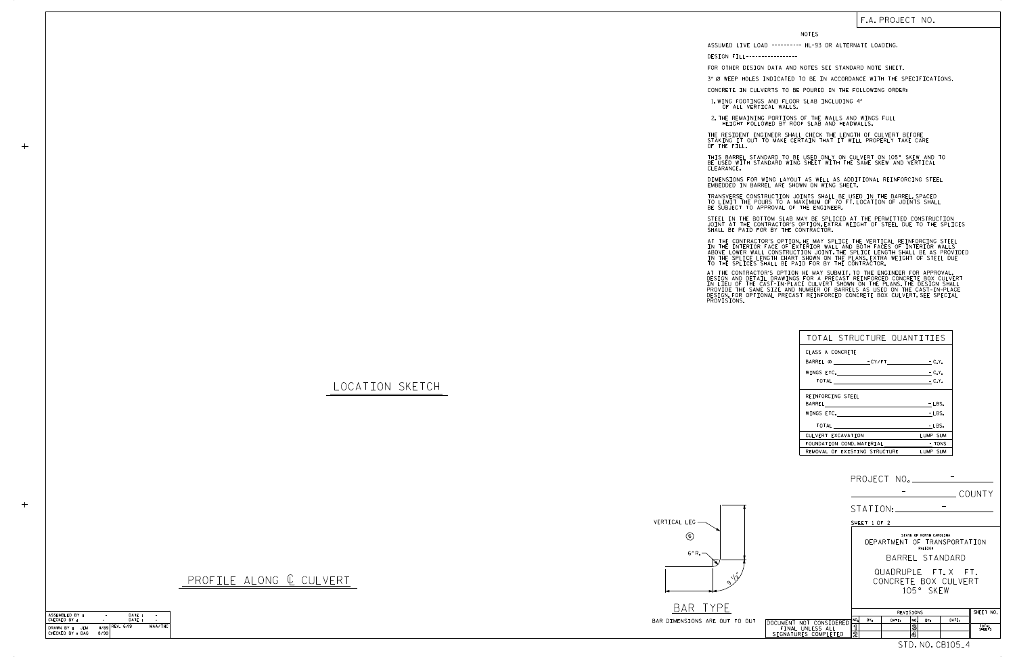LOCATION SKETCH

VERTICAL LEG

## PROFILE ALONG  $C$  CULVERT

6" R. 6



እ  $\sqrt{3}$ 

| TOTAL STRUCTURE QUANTITIES     |          |
|--------------------------------|----------|
| CLASS A CONCRETE               |          |
|                                |          |
|                                | $-C.Y.$  |
| TOTAL $\qquad \qquad -C.Y.$    |          |
| REINFORCING STEEL              |          |
|                                | $-LBS.$  |
| WINGS ETC.                     | $-LBS.$  |
|                                | - LBS.   |
| CULVERT EXCAVATION             | LUMP SUM |
| FOUNDATION COND. MATERIAL TONS |          |
| REMOVAL OF EXISTING STRUCTURE  | LUMP SUM |

NOTES

DESIGN FILL-----------------

FOR OTHER DESIGN DATA AND NOTES SEE STANDARD NOTE SHEET.

3" Ø WEEP HOLES INDICATED TO BE IN ACCORDANCE WITH THE SPECIFICATIONS.

STEEL IN THE BOTTOM SLAB MAY BE SPLICED AT THE PERMITTED CONSTRUCTION JOINT AT THE CONTRACTOR'S OPTION.EXTRA WEIGHT OF STEEL DUE TO THE SPLICES<br>SHALL BE PAID FOR BY THE CONTRACTOR.

CONCRETE IN CULVERTS TO BE POURED IN THE FOLLOWING ORDER:

1.WING FOOTINGS AND FLOOR SLAB INCLUDING 4"<br>OF ALL VERTICAL WALLS.

2.THE REMAINING PORTIONS OF THE WALLS AND WINGS FULL<br>HEIGHT FOLLOWED BY ROOF SLAB AND HEADWALLS.

THE RESIDENT ENGINEER SHALL CHECK THE LENGTH OF CULVERT BEFORE STAKING IT OUT TO MAKE CERTAIN THAT IT WILL PROPERLY TAKE CARE OF THE FILL.

IN THE INTERIOR FACE OF EXTERIOR WALL AND BOTH FACES OF INTERIOR WALLS<br>ABOVE LOWER WALL CONSTRUCTION JOINT THE SPLICE LENGTH SHALL BE AS PROVIDED<br>IN THE SPLICE LENGTH CHART SHOWN ON THE PLANS EXTRA WEIGHT OF STEEL DUE<br>TO T AT THE CONTRACTOR'S OPTION, HE MAY SPLICE THE VERTICAL REINFORCING STEEL

AT THE CONTRACTOR'S OPTION HE MAY SUBMIT,TO THE ENGINEER FOR APPROVAL,<br>DESIGN AND DETAIL DRAWINGS FOR A PRECAST REINFORCED CONCRETE BOX CULVERT<br>IN LIEU OF THE CAST-IN-PLACE CULVERT SHOWN ON THE PLANS.THE DESIGN SHALL<br>PROVI

BE USED WITH STANDARD WING SHEET WITH THE SAME SKEW AND VERTICAL CLEARANCE. THIS BARREL STANDARD TO BE USED ONLY ON CULVERT ON 105° SKEW AND TO

DIMENSIONS FOR WING LAYOUT AS WELL AS ADDITIONAL REINFORCING STEEL<br>EMBEDDED IN BARREL ARE SHOWN ON WING SHEET.

TRANSVERSE CONSTRUCTION JOINTS SHALL BE USED IN THE BARREL,SPACED<br>TO LIMIT THE POURS TO A MAXIMUM OF 70 FT.LOCATION OF JOINTS SHALL<br>BE SUBJECT TO APPROVAL OF THE ENGINEER.

## F.A. PROJECT NO.

| SHALL BE PAI                                                                             |  |
|------------------------------------------------------------------------------------------|--|
| AT THE CONT<br>IN THE INTER<br>ABOVE LOWER<br>IN THE SPLI<br>TO THE SPLI                 |  |
| AT THE CONTI<br>DESIGN AND D<br>IN LIEU OF<br>PROVIDE THE<br>DESIGN.FOR (<br>PROVISIONS. |  |

 $+$ 

ASSUMED LIVE LOAD ---------- HL-93 OR ALTERNATE LOADING.

SHEET 1 OF 2

105° SKEW CONCRETE BOX CULVERT QUADRUPLE FT. X FT.

BARREL STANDARD STATE OF NORTH CAROLINA RALEIGH DEPARTMENT OF TRANSPORTATION

| ASSEMBLED BY :     |      | DATE:             |         |
|--------------------|------|-------------------|---------|
| CHECKED BY :       |      | DATF:             |         |
| DRAWN BY :<br>.JFM |      | $II/89$ REV. 6/19 | MAA/THC |
| CHECKED BY : DAG   | 8/90 |                   |         |
|                    |      |                   |         |



|       |                         |       | REVISIONS |       |     |     | SHEET NO. |                 |
|-------|-------------------------|-------|-----------|-------|-----|-----|-----------|-----------------|
| OUT   | DOCUMENT NOT CONSIDERED | ו NO. | BY:       | DATE: | NO. | BY: | DATE:     |                 |
|       | FINAL UNLESS ALL        |       |           |       | 3   |     |           | TOTAL<br>SHEETS |
|       | SIGNATURES COMPLETED    | 2     |           |       | 4   |     |           |                 |
| CB105 |                         |       |           |       |     |     |           |                 |

STATION:

COUNTY

PROJECT NO. - -

-